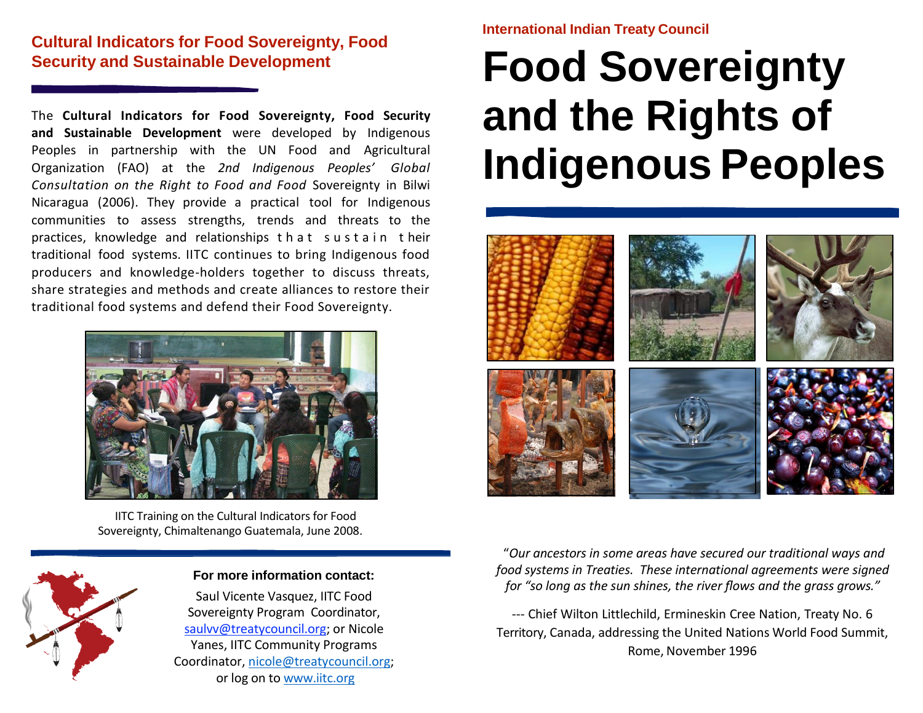# **Cultural Indicators for Food Sovereignty, Food Security and Sustainable Development**

The **Cultural Indicators for Food Sovereignty, Food Security and Sustainable Development** were developed by Indigenous Peoples in partnership with the UN Food and Agricultural Organization (FAO) at the *2nd Indigenous Peoples' Global Consultation on the Right to Food and Food* Sovereignty in Bilwi Nicaragua (2006). They provide a practical tool for Indigenous communities to assess strengths, trends and threats to the practices, knowledge and relationships that sustain their traditional food systems. IITC continues to bring Indigenous food producers and knowledge-holders together to discuss threats, share strategies and methods and create alliances to restore their traditional food systems and defend their Food Sovereignty.



IITC Training on the Cultural Indicators for Food Sovereignty, Chimaltenango Guatemala, June 2008.



### **For more information contact:**

Saul Vicente Vasquez, IITC Food Sovereignty Program Coordinator, saulvv@treatycouncil.org; or Nicole Yanes, IITC Community Programs Coordinator, [nicole@treatycouncil.org;](mailto:nicole@treatycouncil.org) or log on to [www.iitc.org](http://www.iitc.org/)

## **International Indian Treaty Council**

# **Food Sovereignty and the Rights of Indigenous Peoples**



"*Our ancestors in some areas have secured our traditional ways and food systems in Treaties. These international agreements were signed for "so long as the sun shines, the river flows and the grass grows."*

‐‐‐ Chief Wilton Littlechild, Ermineskin Cree Nation, Treaty No. 6 Territory, Canada, addressing the United Nations World Food Summit, Rome, November 1996